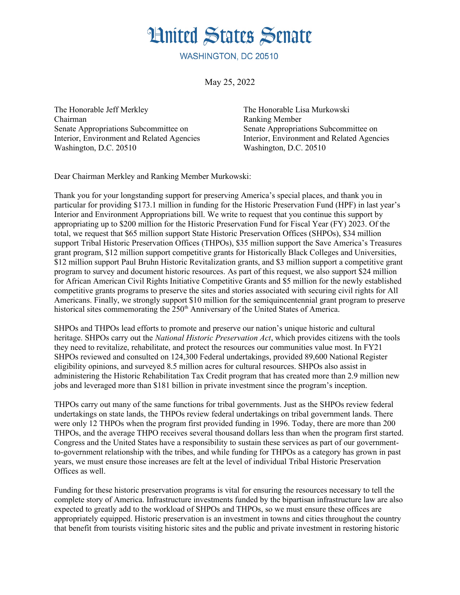## **Hnited States Senate**

WASHINGTON, DC 20510

May 25, 2022

The Honorable Jeff Merkley The Honorable Lisa Murkowski Chairman Ranking Member Senate Appropriations Subcommittee on Senate Appropriations Subcommittee on Washington, D.C. 20510 Washington, D.C. 20510

Interior, Environment and Related Agencies Interior, Environment and Related Agencies

Dear Chairman Merkley and Ranking Member Murkowski:

Thank you for your longstanding support for preserving America's special places, and thank you in particular for providing \$173.1 million in funding for the Historic Preservation Fund (HPF) in last year's Interior and Environment Appropriations bill. We write to request that you continue this support by appropriating up to \$200 million for the Historic Preservation Fund for Fiscal Year (FY) 2023. Of the total, we request that \$65 million support State Historic Preservation Offices (SHPOs), \$34 million support Tribal Historic Preservation Offices (THPOs), \$35 million support the Save America's Treasures grant program, \$12 million support competitive grants for Historically Black Colleges and Universities, \$12 million support Paul Bruhn Historic Revitalization grants, and \$3 million support a competitive grant program to survey and document historic resources. As part of this request, we also support \$24 million for African American Civil Rights Initiative Competitive Grants and \$5 million for the newly established competitive grants programs to preserve the sites and stories associated with securing civil rights for All Americans. Finally, we strongly support \$10 million for the semiquincentennial grant program to preserve historical sites commemorating the 250<sup>th</sup> Anniversary of the United States of America.

SHPOs and THPOs lead efforts to promote and preserve our nation's unique historic and cultural heritage. SHPOs carry out the *National Historic Preservation Act*, which provides citizens with the tools they need to revitalize, rehabilitate, and protect the resources our communities value most. In FY21 SHPOs reviewed and consulted on 124,300 Federal undertakings, provided 89,600 National Register eligibility opinions, and surveyed 8.5 million acres for cultural resources. SHPOs also assist in administering the Historic Rehabilitation Tax Credit program that has created more than 2.9 million new jobs and leveraged more than \$181 billion in private investment since the program's inception.

THPOs carry out many of the same functions for tribal governments. Just as the SHPOs review federal undertakings on state lands, the THPOs review federal undertakings on tribal government lands. There were only 12 THPOs when the program first provided funding in 1996. Today, there are more than 200 THPOs, and the average THPO receives several thousand dollars less than when the program first started. Congress and the United States have a responsibility to sustain these services as part of our governmentto-government relationship with the tribes, and while funding for THPOs as a category has grown in past years, we must ensure those increases are felt at the level of individual Tribal Historic Preservation Offices as well.

Funding for these historic preservation programs is vital for ensuring the resources necessary to tell the complete story of America. Infrastructure investments funded by the bipartisan infrastructure law are also expected to greatly add to the workload of SHPOs and THPOs, so we must ensure these offices are appropriately equipped. Historic preservation is an investment in towns and cities throughout the country that benefit from tourists visiting historic sites and the public and private investment in restoring historic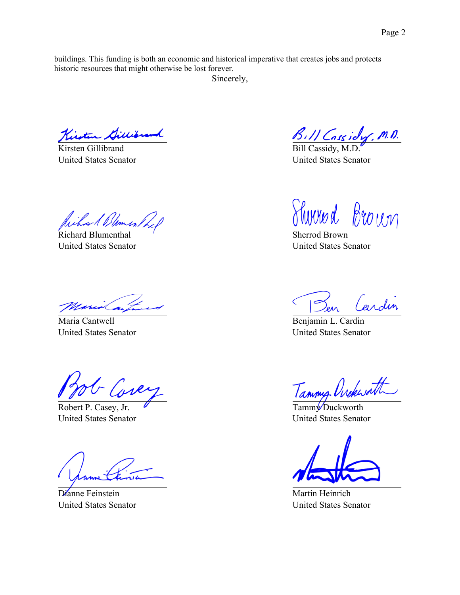buildings. This funding is both an economic and historical imperative that creates jobs and protects historic resources that might otherwise be lost forever.

Sincerely,

Kirsten Gillibrand

Kirsten Gillibrand United States Senator

Wilson & Blomer / 6

Richard Blumenthal United States Senator

Maria Cantwell United States Senator

- Cover

Robert P. Casey, Jr. United States Senator

Dianne Feinstein United States Senator

B. 11 Cassidy, M.D.

United States Senator

Shirred Brown

Sherrod Brown United States Senator

Cardin en

Benjamin L. Cardin United States Senator

Tammy Orckwath

Tamm<sup>V</sup>Duckworth United States Senator

Martin Heinrich United States Senator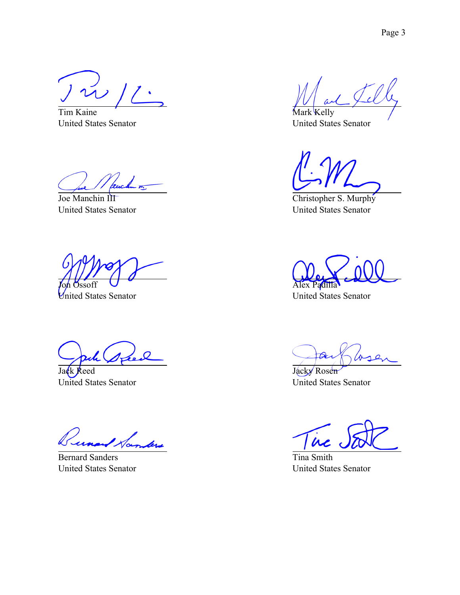$\sim$  //  $\cdot$ 

Tim Kaine United States Senator

Joe Manchin III United States Senator

Jon Ossoff

United States Senator

 $\overline{O}$ 

Jack Reed United States Senator

bre

Bernard Sanders United States Senator

Mark Kelly United States Senator

Christopher S. Murphy United States Senator

Alex Padilla

United States Senator

 $2$ 

Jacky Rosen United States Senator

 $\dot{\bm{\mu}}$ 

Tina Smith United States Senator